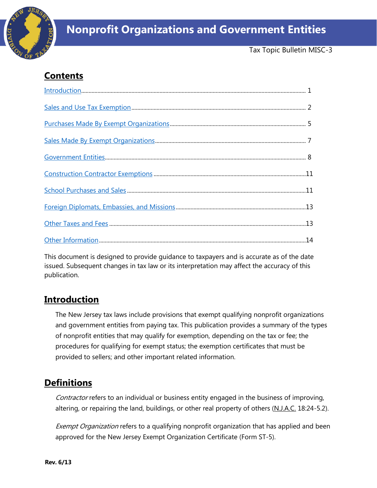

# **Nonprofit Organizations and Government Entities**

Tax Topic Bulletin MISC-3

## **Contents**

This document is designed to provide guidance to taxpayers and is accurate as of the date issued. Subsequent changes in tax law or its interpretation may affect the accuracy of this publication.

## <span id="page-0-0"></span>**Introduction**

The New Jersey tax laws include provisions that exempt qualifying nonprofit organizations and government entities from paying tax. This publication provides a summary of the types of nonprofit entities that may qualify for exemption, depending on the tax or fee; the procedures for qualifying for exempt status; the exemption certificates that must be provided to sellers; and other important related information.

## **Definitions**

Contractor refers to an individual or business entity engaged in the business of improving, altering, or repairing the land, buildings, or other real property of others  $(N_J.A.C. 18:24-5.2)$ .

Exempt Organization refers to a qualifying nonprofit organization that has applied and been approved for the New Jersey Exempt Organization Certificate (Form ST-5).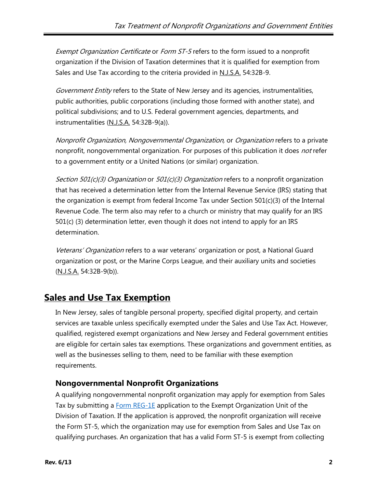Exempt Organization Certificate or Form ST-5 refers to the form issued to a nonprofit organization if the Division of Taxation determines that it is qualified for exemption from Sales and Use Tax according to the criteria provided in N.J.S.A. 54:32B-9.

Government Entity refers to the State of New Jersey and its agencies, instrumentalities, public authorities, public corporations (including those formed with another state), and political subdivisions; and to U.S. Federal government agencies, departments, and instrumentalities (N.J.S.A. 54:32B-9(a)).

Nonprofit Organization, Nongovernmental Organization, or Organization refers to a private nonprofit, nongovernmental organization. For purposes of this publication it does *not* refer to a government entity or a United Nations (or similar) organization.

Section 501(c)(3) Organization or 501(c)(3) Organization refers to a nonprofit organization that has received a determination letter from the Internal Revenue Service (IRS) stating that the organization is exempt from federal Income Tax under Section 501(c)(3) of the Internal Revenue Code. The term also may refer to a church or ministry that may qualify for an IRS 501(c) (3) determination letter, even though it does not intend to apply for an IRS determination.

Veterans' Organization refers to a war veterans' organization or post, a National Guard organization or post, or the Marine Corps League, and their auxiliary units and societies (N.J.S.A. 54:32B-9(b)).

## <span id="page-1-0"></span>**Sales and Use Tax Exemption**

In New Jersey, sales of tangible personal property, specified digital property, and certain services are taxable unless specifically exempted under the Sales and Use Tax Act. However, qualified, registered exempt organizations and New Jersey and Federal government entities are eligible for certain sales tax exemptions. These organizations and government entities, as well as the businesses selling to them, need to be familiar with these exemption requirements.

## **Nongovernmental Nonprofit Organizations**

A qualifying nongovernmental nonprofit organization may apply for exemption from Sales Tax by submitting a **Form REG-1E** application to the Exempt Organization Unit of the Division of Taxation. If the application is approved, the nonprofit organization will receive the Form ST-5, which the organization may use for exemption from Sales and Use Tax on qualifying purchases. An organization that has a valid Form ST-5 is exempt from collecting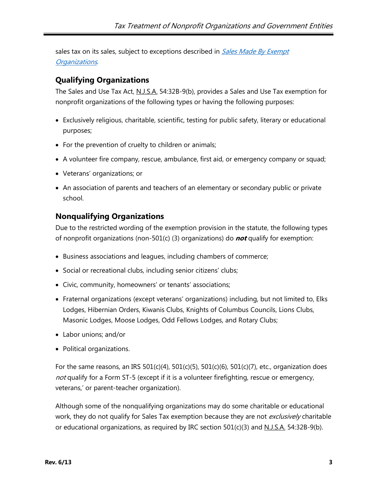sales tax on its sales, subject to exceptions described in [Sales Made](#page-6-0) By Exempt [Organizations](#page-6-0).

### <span id="page-2-0"></span>**Qualifying Organizations**

The Sales and Use Tax Act, N.J.S.A. 54:32B-9(b), provides a Sales and Use Tax exemption for nonprofit organizations of the following types or having the following purposes:

- Exclusively religious, charitable, scientific, testing for public safety, literary or educational purposes;
- For the prevention of cruelty to children or animals;
- A volunteer fire company, rescue, ambulance, first aid, or emergency company or squad;
- Veterans' organizations; or
- An association of parents and teachers of an elementary or secondary public or private school.

#### **Nonqualifying Organizations**

Due to the restricted wording of the exemption provision in the statute, the following types of nonprofit organizations (non-501(c) (3) organizations) do **not** qualify for exemption:

- Business associations and leagues, including chambers of commerce;
- Social or recreational clubs, including senior citizens' clubs;
- Civic, community, homeowners' or tenants' associations;
- Fraternal organizations (except veterans' organizations) including, but not limited to, Elks Lodges, Hibernian Orders, Kiwanis Clubs, Knights of Columbus Councils, Lions Clubs, Masonic Lodges, Moose Lodges, Odd Fellows Lodges, and Rotary Clubs;
- Labor unions; and/or
- Political organizations.

For the same reasons, an IRS  $501(c)(4)$ ,  $501(c)(5)$ ,  $501(c)(6)$ ,  $501(c)(7)$ , etc., organization does not qualify for a Form ST-5 (except if it is a volunteer firefighting, rescue or emergency, veterans,' or parent-teacher organization).

Although some of the nonqualifying organizations may do some charitable or educational work, they do not qualify for Sales Tax exemption because they are not *exclusively* charitable or educational organizations, as required by IRC section  $501(c)(3)$  and  $N.L.S.A.$  54:32B-9(b).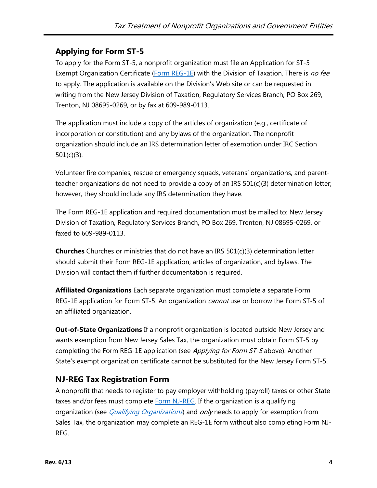## **Applying for Form ST-5**

To apply for the Form ST-5, a nonprofit organization must file an Application for ST-5 Exempt Organization Certificate [\(Form REG-1E\)](http://www.state.nj.us/treasury/taxation/pdf/other_forms/sales/reg1e.pdf) with the Division of Taxation. There is no fee to apply. The application is available on the Division's Web site or can be requested in writing from the New Jersey Division of Taxation, Regulatory Services Branch, PO Box 269, Trenton, NJ 08695-0269, or by fax at 609-989-0113.

The application must include a copy of the articles of organization (e.g., certificate of incorporation or constitution) and any bylaws of the organization. The nonprofit organization should include an IRS determination letter of exemption under IRC Section 501(c)(3).

Volunteer fire companies, rescue or emergency squads, veterans' organizations, and parentteacher organizations do not need to provide a copy of an IRS 501(c)(3) determination letter; however, they should include any IRS determination they have.

The Form REG-1E application and required documentation must be mailed to: New Jersey Division of Taxation, Regulatory Services Branch, PO Box 269, Trenton, NJ 08695-0269, or faxed to 609-989-0113.

**Churches** Churches or ministries that do not have an IRS 501(c)(3) determination letter should submit their Form REG-1E application, articles of organization, and bylaws. The Division will contact them if further documentation is required.

**Affiliated Organizations** Each separate organization must complete a separate Form REG-1E application for Form ST-5. An organization *cannot* use or borrow the Form ST-5 of an affiliated organization.

**Out-of-State Organizations** If a nonprofit organization is located outside New Jersey and wants exemption from New Jersey Sales Tax, the organization must obtain Form ST-5 by completing the Form REG-1E application (see Applying for Form ST-5 above). Another State's exempt organization certificate cannot be substituted for the New Jersey Form ST-5.

## **NJ-REG Tax Registration Form**

A nonprofit that needs to register to pay employer withholding (payroll) taxes or other State taxes and/or fees must complete [Form NJ-REG.](http://www.state.nj.us/treasury/revenue/revprnt.shtml) If the organization is a qualifying organization (see *[Qualifying Organizations](#page-2-0)*) and *only* needs to apply for exemption from Sales Tax, the organization may complete an REG-1E form without also completing Form NJ-REG.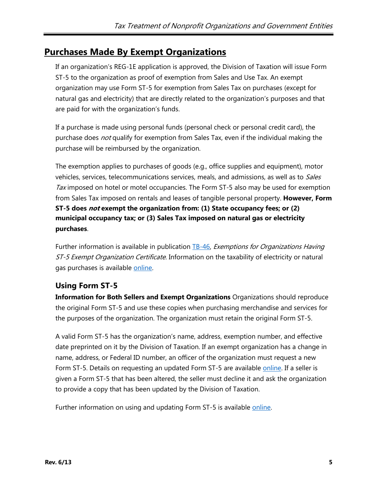## <span id="page-4-0"></span>**Purchases Made By Exempt Organizations**

If an organization's REG-1E application is approved, the Division of Taxation will issue Form ST-5 to the organization as proof of exemption from Sales and Use Tax. An exempt organization may use Form ST-5 for exemption from Sales Tax on purchases (except for natural gas and electricity) that are directly related to the organization's purposes and that are paid for with the organization's funds.

If a purchase is made using personal funds (personal check or personal credit card), the purchase does *not* qualify for exemption from Sales Tax, even if the individual making the purchase will be reimbursed by the organization.

The exemption applies to purchases of goods (e.g., office supplies and equipment), motor vehicles, services, telecommunications services, meals, and admissions, as well as to *Sales* Tax imposed on hotel or motel occupancies. The Form  $ST-5$  also may be used for exemption from Sales Tax imposed on rentals and leases of tangible personal property. **However, Form ST-5 does not exempt the organization from: (1) State occupancy fees; or (2) municipal occupancy tax; or (3) Sales Tax imposed on natural gas or electricity purchases**.

Further information is available in publication [TB-46,](http://www.state.nj.us/treasury/taxation/pdf/pubs/tb/tb46.pdf) Exemptions for Organizations Having ST-5 Exempt Organization Certificate. Information on the taxability of electricity or natural gas purchases is available [online.](http://www.state.nj.us/treasury/taxation/egyexem.shtml)

## **Using Form ST-5**

**Information for Both Sellers and Exempt Organizations** Organizations should reproduce the original Form ST-5 and use these copies when purchasing merchandise and services for the purposes of the organization. The organization must retain the original Form ST-5.

A valid Form ST-5 has the organization's name, address, exemption number, and effective date preprinted on it by the Division of Taxation. If an exempt organization has a change in name, address, or Federal ID number, an officer of the organization must request a new Form ST-5. Details on requesting an updated Form ST-5 are available [online.](http://www.state.nj.us/treasury/taxation/exemption.shtml) If a seller is given a Form ST-5 that has been altered, the seller must decline it and ask the organization to provide a copy that has been updated by the Division of Taxation.

Further information on using and updating Form ST-5 is available [online.](http://www.state.nj.us/treasury/taxation/pdf/pubs/st5faq.pdf)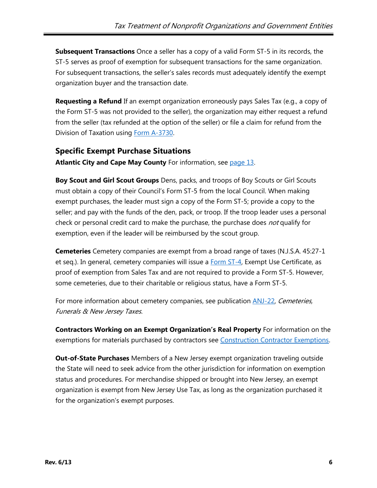**Subsequent Transactions** Once a seller has a copy of a valid Form ST-5 in its records, the ST-5 serves as proof of exemption for subsequent transactions for the same organization. For subsequent transactions, the seller's sales records must adequately identify the exempt organization buyer and the transaction date.

**Requesting a Refund** If an exempt organization erroneously pays Sales Tax (e.g., a copy of the Form ST-5 was not provided to the seller), the organization may either request a refund from the seller (tax refunded at the option of the seller) or file a claim for refund from the Division of Taxation using [Form A-3730.](http://www.state.nj.us/treasury/taxation/pdf/other_forms/sales/a3730.pdf)

### **Specific Exempt Purchase Situations**

**Atlantic City and Cape May County** For information, see [page 13.](#page-12-2)

**Boy Scout and Girl Scout Groups** Dens, packs, and troops of Boy Scouts or Girl Scouts must obtain a copy of their Council's Form ST-5 from the local Council. When making exempt purchases, the leader must sign a copy of the Form ST-5; provide a copy to the seller; and pay with the funds of the den, pack, or troop. If the troop leader uses a personal check or personal credit card to make the purchase, the purchase does not qualify for exemption, even if the leader will be reimbursed by the scout group.

**Cemeteries** Cemetery companies are exempt from a broad range of taxes (N.J.S.A. 45:27-1 et seq.). In general, cemetery companies will issue a [Form ST-4,](http://www.state.nj.us/treasury/taxation/pdf/other_forms/sales/st4.pdf) Exempt Use Certificate, as proof of exemption from Sales Tax and are not required to provide a Form ST-5. However, some cemeteries, due to their charitable or religious status, have a Form ST-5.

For more information about cemetery companies, see publication [ANJ-22,](http://www.state.nj.us/treasury/taxation/pdf/pubs/sales/anj22.pdf) Cemeteries, Funerals & New Jersey Taxes.

**Contractors Working on an Exempt Organization's Real Property** For information on the exemptions for materials purchased by contractors see [Construction Contractor Exemptions](#page-10-0).

**Out-of-State Purchases** Members of a New Jersey exempt organization traveling outside the State will need to seek advice from the other jurisdiction for information on exemption status and procedures. For merchandise shipped or brought into New Jersey, an exempt organization is exempt from New Jersey Use Tax, as long as the organization purchased it for the organization's exempt purposes.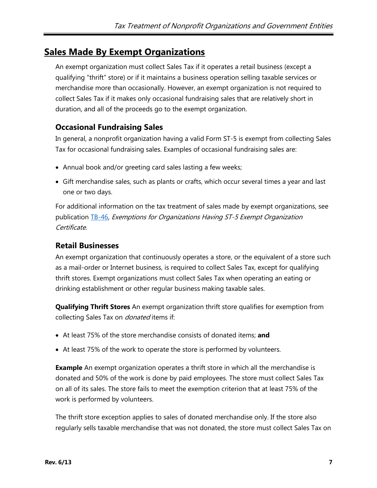## <span id="page-6-0"></span>**Sales Made By Exempt Organizations**

An exempt organization must collect Sales Tax if it operates a retail business (except a qualifying "thrift" store) or if it maintains a business operation selling taxable services or merchandise more than occasionally. However, an exempt organization is not required to collect Sales Tax if it makes only occasional fundraising sales that are relatively short in duration, and all of the proceeds go to the exempt organization.

### **Occasional Fundraising Sales**

In general, a nonprofit organization having a valid Form ST-5 is exempt from collecting Sales Tax for occasional fundraising sales. Examples of occasional fundraising sales are:

- Annual book and/or greeting card sales lasting a few weeks;
- Gift merchandise sales, such as plants or crafts, which occur several times a year and last one or two days.

For additional information on the tax treatment of sales made by exempt organizations, see publication [TB-46,](http://www.state.nj.us/treasury/taxation/pdf/pubs/tb/tb46.pdf) Exemptions for Organizations Having ST-5 Exempt Organization Certificate.

#### **Retail Businesses**

An exempt organization that continuously operates a store, or the equivalent of a store such as a mail-order or Internet business, is required to collect Sales Tax, except for qualifying thrift stores. Exempt organizations must collect Sales Tax when operating an eating or drinking establishment or other regular business making taxable sales.

**Qualifying Thrift Stores** An exempt organization thrift store qualifies for exemption from collecting Sales Tax on *donated* items if:

- At least 75% of the store merchandise consists of donated items; **and**
- At least 75% of the work to operate the store is performed by volunteers.

**Example** An exempt organization operates a thrift store in which all the merchandise is donated and 50% of the work is done by paid employees. The store must collect Sales Tax on all of its sales. The store fails to meet the exemption criterion that at least 75% of the work is performed by volunteers.

The thrift store exception applies to sales of donated merchandise only. If the store also regularly sells taxable merchandise that was not donated, the store must collect Sales Tax on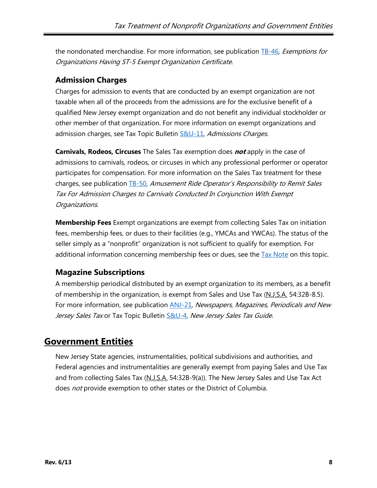the nondonated merchandise. For more information, see publication [TB-46,](http://www.state.nj.us/treasury/taxation/pdf/pubs/tb/tb46.pdf) Exemptions for Organizations Having ST-5 Exempt Organization Certificate.

### **Admission Charges**

Charges for admission to events that are conducted by an exempt organization are not taxable when all of the proceeds from the admissions are for the exclusive benefit of a qualified New Jersey exempt organization and do not benefit any individual stockholder or other member of that organization. For more information on exempt organizations and admission charges, see Tax Topic Bulletin [S&U-11,](http://www.state.nj.us/treasury/taxation/pdf/pubs/sales/su11.pdf) Admissions Charges.

**Carnivals, Rodeos, Circuses** The Sales Tax exemption does **not** apply in the case of admissions to carnivals, rodeos, or circuses in which any professional performer or operator participates for compensation. For more information on the Sales Tax treatment for these charges, see publication [TB-50,](http://www.state.nj.us/treasury/taxation/pdf/pubs/tb/tb50.pdf) Amusement Ride Operator's Responsibility to Remit Sales Tax For Admission Charges to Carnivals Conducted In Conjunction With Exempt Organizations.

**Membership Fees** Exempt organizations are exempt from collecting Sales Tax on initiation fees, membership fees, or dues to their facilities (e.g., YMCAs and YWCAs). The status of the seller simply as a "nonprofit" organization is not sufficient to qualify for exemption. For additional information concerning membership fees or dues, see the [Tax Note](http://www.state.nj.us/treasury/taxation/membership.shtml) on this topic.

## **Magazine Subscriptions**

A membership periodical distributed by an exempt organization to its members, as a benefit of membership in the organization, is exempt from Sales and Use Tax (N.J.S.A. 54:32B-8.5). For more information, see publication **ANJ-21**, Newspapers, Magazines, Periodicals and New Jersey Sales Tax or Tax Topic Bulletin [S&U-4,](http://www.state.nj.us/treasury/taxation/pdf/pubs/sales/su4.pdf) New Jersey Sales Tax Guide.

## <span id="page-7-0"></span>**Government Entities**

New Jersey State agencies, instrumentalities, political subdivisions and authorities, and Federal agencies and instrumentalities are generally exempt from paying Sales and Use Tax and from collecting Sales Tax (N.J.S.A. 54:32B-9(a)). The New Jersey Sales and Use Tax Act does not provide exemption to other states or the District of Columbia.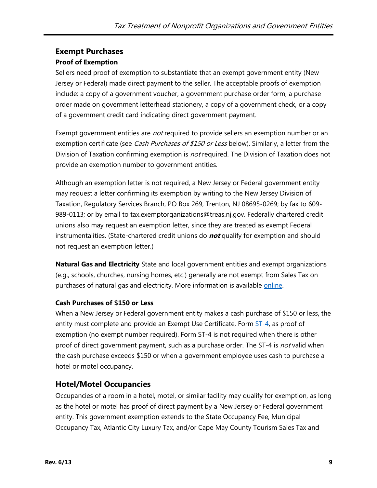#### **Exempt Purchases**

#### **Proof of Exemption**

Sellers need proof of exemption to substantiate that an exempt government entity (New Jersey or Federal) made direct payment to the seller. The acceptable proofs of exemption include: a copy of a government voucher, a government purchase order form, a purchase order made on government letterhead stationery, a copy of a government check, or a copy of a government credit card indicating direct government payment.

Exempt government entities are *not* required to provide sellers an exemption number or an exemption certificate (see *Cash Purchases of \$150 or Less* below). Similarly, a letter from the Division of Taxation confirming exemption is *not* required. The Division of Taxation does not provide an exemption number to government entities.

Although an exemption letter is not required, a New Jersey or Federal government entity may request a letter confirming its exemption by writing to the New Jersey Division of Taxation, Regulatory Services Branch, PO Box 269, Trenton, NJ 08695-0269; by fax to 609- 989-0113; or by email to tax.exemptorganizations@treas.nj.gov. Federally chartered credit unions also may request an exemption letter, since they are treated as exempt Federal instrumentalities. (State-chartered credit unions do **not** qualify for exemption and should not request an exemption letter.)

**Natural Gas and Electricity** State and local government entities and exempt organizations (e.g., schools, churches, nursing homes, etc.) generally are not exempt from Sales Tax on purchases of natural gas and electricity. More information is available [online.](http://www.state.nj.us/treasury/taxation/egyexem.shtml)

#### **Cash Purchases of \$150 or Less**

When a New Jersey or Federal government entity makes a cash purchase of \$150 or less, the entity must complete and provide an Exempt Use Certificate, Form [ST-4,](http://www.state.nj.us/treasury/taxation/pdf/other_forms/sales/st4.pdf) as proof of exemption (no exempt number required). Form ST-4 is not required when there is other proof of direct government payment, such as a purchase order. The ST-4 is not valid when the cash purchase exceeds \$150 or when a government employee uses cash to purchase a hotel or motel occupancy.

#### **Hotel/Motel Occupancies**

Occupancies of a room in a hotel, motel, or similar facility may qualify for exemption, as long as the hotel or motel has proof of direct payment by a New Jersey or Federal government entity. This government exemption extends to the State Occupancy Fee, Municipal Occupancy Tax, Atlantic City Luxury Tax, and/or Cape May County Tourism Sales Tax and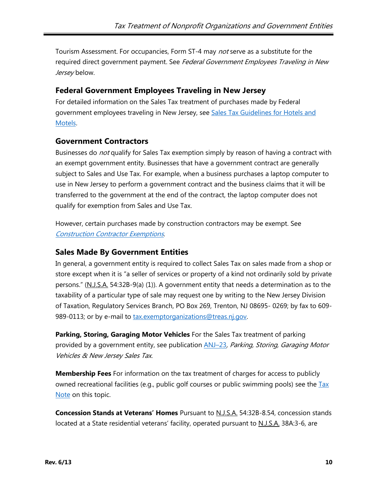Tourism Assessment. For occupancies, Form ST-4 may *not* serve as a substitute for the required direct government payment. See Federal Government Employees Traveling in New Jersey below.

#### **Federal Government Employees Traveling in New Jersey**

For detailed information on the Sales Tax treatment of purchases made by Federal government employees traveling in New Jersey, see Sales Tax Guidelines for Hotels and [Motels](http://www.state.nj.us/treasury/taxation/pdf/regs/salestaxguidelines.pdf).

#### **Government Contractors**

Businesses do not qualify for Sales Tax exemption simply by reason of having a contract with an exempt government entity. Businesses that have a government contract are generally subject to Sales and Use Tax. For example, when a business purchases a laptop computer to use in New Jersey to perform a government contract and the business claims that it will be transferred to the government at the end of the contract, the laptop computer does not qualify for exemption from Sales and Use Tax.

However, certain purchases made by construction contractors may be exempt. See Construction [Contractor Exemptions](#page-10-0).

#### **Sales Made By Government Entities**

In general, a government entity is required to collect Sales Tax on sales made from a shop or store except when it is "a seller of services or property of a kind not ordinarily sold by private persons." (N.J.S.A. 54:32B-9(a) (1)). A government entity that needs a determination as to the taxability of a particular type of sale may request one by writing to the New Jersey Division of Taxation, Regulatory Services Branch, PO Box 269, Trenton, NJ 08695- 0269; by fax to 609 989-0113; or by e-mail to [tax.exemptorganizations@treas.nj.gov.](mailto:tax.exemptorganizations@treas.nj.gov)

**Parking, Storing, Garaging Motor Vehicles** For the Sales Tax treatment of parking provided by a government entity, see publication **ANJ–23**, Parking, Storing, Garaging Motor Vehicles & New Jersey Sales Tax.

**Membership Fees** For information on the tax treatment of charges for access to publicly owned recreational facilities (e.g., public golf courses or public swimming pools) see the Tax [Note](http://www.state.nj.us/treasury/taxation/membership.shtml) on this topic.

**Concession Stands at Veterans' Homes** Pursuant to N.J.S.A. 54:32B-8.54, concession stands located at a State residential veterans' facility, operated pursuant to N.J.S.A. 38A:3-6, are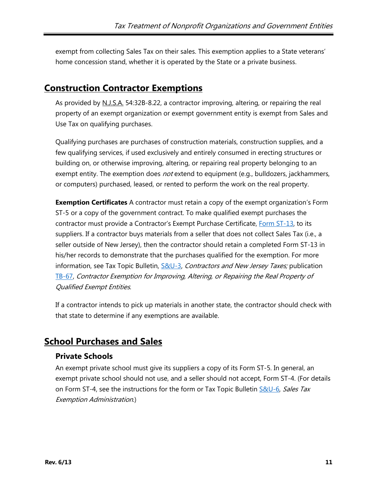exempt from collecting Sales Tax on their sales. This exemption applies to a State veterans' home concession stand, whether it is operated by the State or a private business.

## <span id="page-10-0"></span>**Construction Contractor Exemptions**

As provided by N.J.S.A. 54:32B-8.22, a contractor improving, altering, or repairing the real property of an exempt organization or exempt government entity is exempt from Sales and Use Tax on qualifying purchases.

Qualifying purchases are purchases of construction materials, construction supplies, and a few qualifying services, if used exclusively and entirely consumed in erecting structures or building on, or otherwise improving, altering, or repairing real property belonging to an exempt entity. The exemption does *not* extend to equipment (e.g., bulldozers, jackhammers, or computers) purchased, leased, or rented to perform the work on the real property.

**Exemption Certificates** A contractor must retain a copy of the exempt organization's Form ST-5 or a copy of the government contract. To make qualified exempt purchases the contractor must provide a Contractor's Exempt Purchase Certificate, [Form ST-13,](http://www.state.nj.us/treasury/taxation/pdf/other_forms/sales/st13.pdf) to its suppliers. If a contractor buys materials from a seller that does not collect Sales Tax (i.e., a seller outside of New Jersey), then the contractor should retain a completed Form ST-13 in his/her records to demonstrate that the purchases qualified for the exemption. For more information, see Tax Topic Bulletin, [S&U-3,](http://www.state.nj.us/treasury/taxation/pdf/pubs/sales/su3.pdf) Contractors and New Jersey Taxes; publication [TB-67,](http://www.state.nj.us/treasury/taxation/pdf/pubs/tb/tb67.pdf) Contractor Exemption for Improving, Altering, or Repairing the Real Property of Qualified Exempt Entities.

If a contractor intends to pick up materials in another state, the contractor should check with that state to determine if any exemptions are available.

## <span id="page-10-1"></span>**School Purchases and Sales**

#### **Private Schools**

An exempt private school must give its suppliers a copy of its Form ST-5. In general, an exempt private school should not use, and a seller should not accept, Form ST-4. (For details on Form ST-4, see the instructions for the form or Tax Topic Bulletin [S&U-6,](http://www.state.nj.us/treasury/taxation/pdf/pubs/sales/su6.pdf) Sales Tax Exemption Administration.)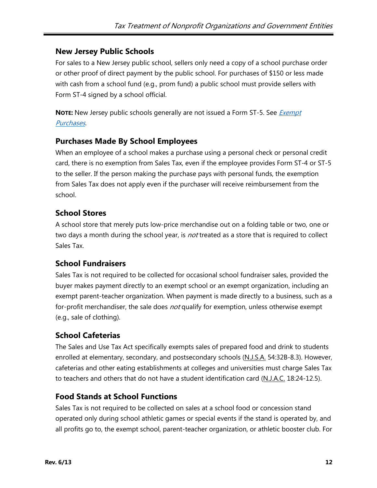#### **New Jersey Public Schools**

For sales to a New Jersey public school, sellers only need a copy of a school purchase order or other proof of direct payment by the public school. For purchases of \$150 or less made with cash from a school fund (e.g., prom fund) a public school must provide sellers with Form ST-4 signed by a school official.

**NOTE:** New Jersey public schools generally are not issued a Form ST-5. See *Exempt* [Purchases](#page-4-0).

#### **Purchases Made By School Employees**

When an employee of a school makes a purchase using a personal check or personal credit card, there is no exemption from Sales Tax, even if the employee provides Form ST-4 or ST-5 to the seller. If the person making the purchase pays with personal funds, the exemption from Sales Tax does not apply even if the purchaser will receive reimbursement from the school.

#### **School Stores**

A school store that merely puts low-price merchandise out on a folding table or two, one or two days a month during the school year, is *not* treated as a store that is required to collect Sales Tax.

#### **School Fundraisers**

Sales Tax is not required to be collected for occasional school fundraiser sales, provided the buyer makes payment directly to an exempt school or an exempt organization, including an exempt parent-teacher organization. When payment is made directly to a business, such as a for-profit merchandiser, the sale does not qualify for exemption, unless otherwise exempt (e.g., sale of clothing).

#### **School Cafeterias**

The Sales and Use Tax Act specifically exempts sales of prepared food and drink to students enrolled at elementary, secondary, and postsecondary schools (N.J.S.A. 54:32B-8.3). However, cafeterias and other eating establishments at colleges and universities must charge Sales Tax to teachers and others that do not have a student identification card (N.J.A.C. 18:24-12.5).

#### **Food Stands at School Functions**

Sales Tax is not required to be collected on sales at a school food or concession stand operated only during school athletic games or special events if the stand is operated by, and all profits go to, the exempt school, parent-teacher organization, or athletic booster club. For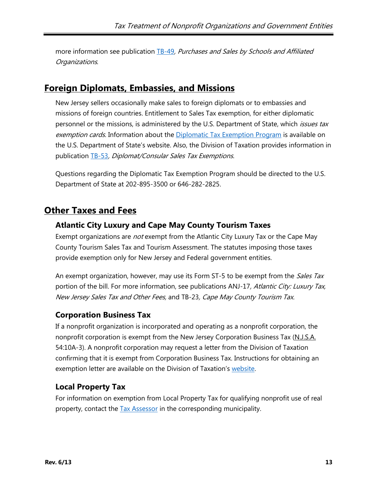more information see publication [TB-49](http://www.state.nj.us/treasury/taxation/pdf/pubs/tb/tb49.pdf), Purchases and Sales by Schools and Affiliated Organizations.

## <span id="page-12-0"></span>**Foreign Diplomats, Embassies, and Missions**

New Jersey sellers occasionally make sales to foreign diplomats or to embassies and missions of foreign countries. Entitlement to Sales Tax exemption, for either diplomatic personnel or the missions, is administered by the U.S. Department of State, which *issues tax* exemption cards. Information about the *Diplomatic Tax Exemption Program* is available on the U.S. Department of State's website. Also, the Division of Taxation provides information in publication [TB-53](http://www.state.nj.us/treasury/taxation/pdf/pubs/tb/tb53.pdf), Diplomat/Consular Sales Tax Exemptions.

Questions regarding the Diplomatic Tax Exemption Program should be directed to the U.S. Department of State at 202-895-3500 or 646-282-2825.

## <span id="page-12-1"></span>**Other Taxes and Fees**

### <span id="page-12-2"></span>**Atlantic City Luxury and Cape May County Tourism Taxes**

Exempt organizations are *not* exempt from the Atlantic City Luxury Tax or the Cape May County Tourism Sales Tax and Tourism Assessment. The statutes imposing those taxes provide exemption only for New Jersey and Federal government entities.

An exempt organization, however, may use its Form ST-5 to be exempt from the Sales Tax portion of the bill. For more information, see publications ANJ-17, Atlantic City: Luxury Tax, New Jersey Sales Tax and Other Fees, and TB-23, Cape May County Tourism Tax.

## **Corporation Business Tax**

If a nonprofit organization is incorporated and operating as a nonprofit corporation, the nonprofit corporation is exempt from the New Jersey Corporation Business Tax (N.J.S.A. 54:10A-3). A nonprofit corporation may request a letter from the Division of Taxation confirming that it is exempt from Corporation Business Tax. Instructions for obtaining an exemption letter are available on the Division of Taxation's [website.](http://www.state.nj.us/treasury/taxation/exemptcbt.shtml)

#### **Local Property Tax**

For information on exemption from Local Property Tax for qualifying nonprofit use of real property, contact the **Tax Assessor** in the corresponding municipality.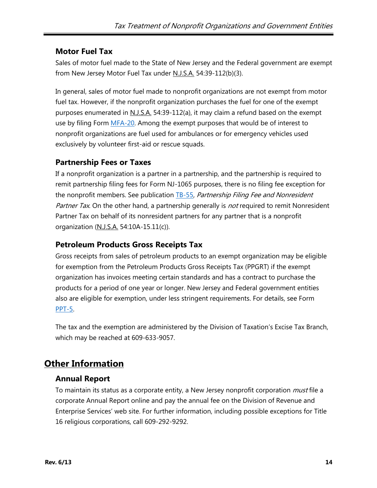### **Motor Fuel Tax**

Sales of motor fuel made to the State of New Jersey and the Federal government are exempt from New Jersey Motor Fuel Tax under N.J.S.A. 54:39-112(b)(3).

In general, sales of motor fuel made to nonprofit organizations are not exempt from motor fuel tax. However, if the nonprofit organization purchases the fuel for one of the exempt purposes enumerated in N.J.S.A. 54:39-112(a), it may claim a refund based on the exempt use by filing Form [MFA-20.](http://www.state.nj.us/treasury/taxation/pdf/other_forms/motorfuel/mfa20.pdf) Among the exempt purposes that would be of interest to nonprofit organizations are fuel used for ambulances or for emergency vehicles used exclusively by volunteer first-aid or rescue squads.

### **Partnership Fees or Taxes**

If a nonprofit organization is a partner in a partnership, and the partnership is required to remit partnership filing fees for Form NJ-1065 purposes, there is no filing fee exception for the nonprofit members. See publication [TB-55,](http://www.state.nj.us/treasury/taxation/pdf/pubs/tb/tb55.pdf) Partnership Filing Fee and Nonresident Partner Tax. On the other hand, a partnership generally is not required to remit Nonresident Partner Tax on behalf of its nonresident partners for any partner that is a nonprofit organization (N.J.S.A. 54:10A-15.11(c)).

### **Petroleum Products Gross Receipts Tax**

Gross receipts from sales of petroleum products to an exempt organization may be eligible for exemption from the Petroleum Products Gross Receipts Tax (PPGRT) if the exempt organization has invoices meeting certain standards and has a contract to purchase the products for a period of one year or longer. New Jersey and Federal government entities also are eligible for exemption, under less stringent requirements. For details, see Form [PPT-5.](http://www.state.nj.us/treasury/taxation/prntpetr.shtml)

The tax and the exemption are administered by the Division of Taxation's Excise Tax Branch, which may be reached at 609-633-9057.

## <span id="page-13-0"></span>**Other Information**

#### **Annual Report**

To maintain its status as a corporate entity, a New Jersey nonprofit corporation *must* file a corporate Annual Report online and pay the annual fee on the Division of Revenue and Enterprise Services' web site. For further information, including possible exceptions for Title 16 religious corporations, call 609-292-9292.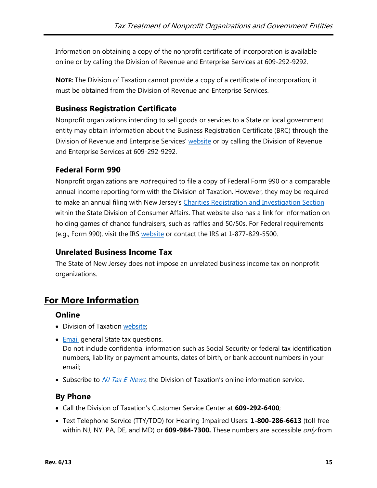Information on obtaining a copy of the nonprofit certificate of incorporation is available online or by calling the Division of Revenue and Enterprise Services at 609-292-9292.

**NOTE:** The Division of Taxation cannot provide a copy of a certificate of incorporation; it must be obtained from the Division of Revenue and Enterprise Services.

## **Business Registration Certificate**

Nonprofit organizations intending to sell goods or services to a State or local government entity may obtain information about the Business Registration Certificate (BRC) through the Division of Revenue and Enterprise Services' [website](http://www.state.nj.us/treasury/revenue/busregcert.shtml) or by calling the Division of Revenue and Enterprise Services at 609-292-9292.

## **Federal Form 990**

Nonprofit organizations are *not* required to file a copy of Federal Form 990 or a comparable annual income reporting form with the Division of Taxation. However, they may be required to make an annual filing with New Jersey's [Charities Registration and Investigation Section](http://www.njconsumeraffairs.gov/charities/Pages/default.aspx) within the State Division of Consumer Affairs. That website also has a link for information on holding games of chance fundraisers, such as raffles and 50/50s. For Federal requirements (e.g., Form 990), visit the IRS [website](https://www.irs.gov/) or contact the IRS at 1-877-829-5500.

## **Unrelated Business Income Tax**

The State of New Jersey does not impose an unrelated business income tax on nonprofit organizations.

## **For More Information**

#### **Online**

- Division of Taxation [website;](http://www.njtaxation.org/)
- **[Email](https://www.state.nj.us/treas/taxation/contactus_tyttaxa.shtml) general State tax questions.**

Do not include confidential information such as Social Security or federal tax identification numbers, liability or payment amounts, dates of birth, or bank account numbers in your email;

• Subscribe to  $NJ$  Tax E-News, the Division of Taxation's online information service.

## **By Phone**

- Call the Division of Taxation's Customer Service Center at **609-292-6400**;
- Text Telephone Service (TTY/TDD) for Hearing-Impaired Users: **1-800-286-6613** (toll-free within NJ, NY, PA, DE, and MD) or **609-984-7300.** These numbers are accessible only from